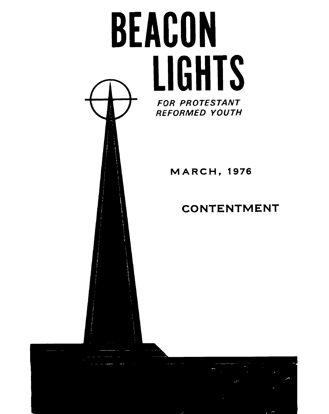

## **CONTENTMENT**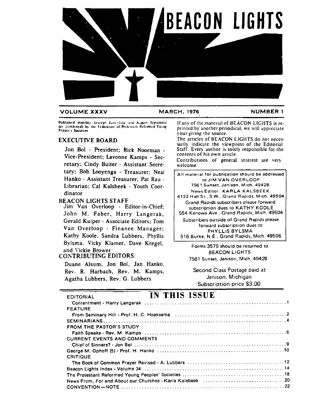

#### **VOLUME XXXV MARCH, 1976 NUMBER 1**

Vice-President; Lavonne Kamps - Sec.<br>Contributions of general interest are very retary: Cindy Buiter - Assistant Secre- welcome. tary; Bob Looyenga - Treasurer; Neal Hanko - Assistant Treasurer; Pat Rau - Librarian: Cal Kalsbeek - Youth Coordinator

REACON LIGHTS STAFF

Jim Van Overloop - Editor-in-Chief; John M. Faber, Harry Langerak, Gerald Kuiper - Associate Editors; Tom Van Overloop - Finance Manager; Kathy Koole, Sandra Lubbers, Phyllis Bylsma. Vicky Klamer. Dave Kregel,<br>and Vickie Brower

#### CONTRIBUTING EDITORS:

Duane Alsum. Jon **Bol,** Jan Hanko, Rev. R. Harbach, Rev. M. Kamps, Second Class Postage paid at Second Class Postage paid at Second Class Postage paid at Agatha Lubbers, Rev. G. Lubbers

Published monthly (except June-July and August-September If any of the material of BEACON LIGHTS is re-<br>are combined) by the Federation of Protestant Reformed Young<br>People's Societies.<br>
EXECUTIVE BOARD The articles of BEAC

EXECUTIVE BOARD sarily indicate the viewpoint of the Editorial<br>Jon Bol - President: Rick Noorman - Staff. Every author is solely responsible for the Staff. Every author is solely responsible for the contents of his own article.

All material for publication should **be** addressed to JIM VAN OVERLOOP 7561 Sunset. Jenison, Mich. **49428**  News Editor: KARLA KALSBEEK

**4132** Hall St. S.W., Grand Rapids. Mich. **49504**  Grand Rapids subscribers please forward subscription dues to KATHY KOOLE 554 Kenowa Ave., Grand Rapids, Mich. 49504

Subscribers outside of Grand Rapids please forward subscription dues to PHYLLIS BYLSMA 516 Burke, N.E.. Grand Rapids. Mich.49506

7561 Sunset, Jenison, Mich. 49428

Subscription price \$3.00

#### EDITORIAL **IN THIS ISSUE**

| <b>FEATURE</b>                     |
|------------------------------------|
|                                    |
|                                    |
| <b>FROM THE PASTOR'S STUDY</b>     |
|                                    |
| <b>CURRENT EVENTS AND COMMENTS</b> |
|                                    |
|                                    |
| <b>CRITIQUE</b>                    |
|                                    |
|                                    |
|                                    |
|                                    |
|                                    |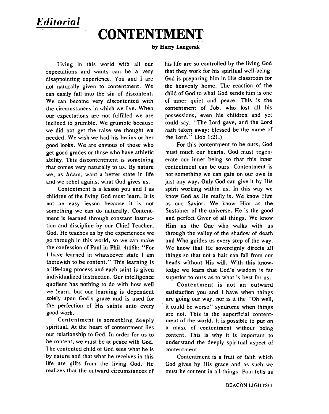# *Editorial* - -- - **CONTENTMENT**

#### by Harry Langerak

Living in this world with all our expectations and wants can be a very disappointing experience. You and I are not naturally given to contentment. We can easily fall into the sin of discontent. We can become very discontented with the circumstances in which we live. When our expectations are not fulfilled we are inclined to grumble. We grumble because we did not get the raise we thought we needed. We wish we had his brains or her good looks. We are envious of those who get good grades or those who have athletic ability. This discontentment is something that comes very naturally to us. By nature we, as Adam, want a better state in life and we rebel against what God gives us.

Contentment is a lesson you and 1 as children of the living God must learn. It is not an easy lesson because it is not something we can do naturally. Contentment is learned through constant instruction and discipline by our Chief Teacher, God. He teaches us by the experiences we go through in this world, so we can make the confession of Paul in Phil. 4:16b: "For I have learned in whatsoever state 1 am therewith to be content." This learning is a life-long process and each saint is given individualized instruction. Our intelligence quotient has nothing to do with how well we learn, but our leaning is dependent solely upon God's grace and is used for the perfection of His saints unto every good work.

Contentment is something deeply spiritual. At the heart of contentment lies our relationship to God. In order for us to be content, we must be at peace with God. The contented child of God sees what he is by nature and that what he receives in this life are gifts from the living God. He realizes that the outward circumstances of his life are so controlled by the living God that they work for his spiritual well-being. God is preparing him in His classroom for the heavenly home. The reaction of the child of God to what God sends him is one of inner quiet and peace. This is the contentment of Job, who lost all his possessions, even his children and yet could say, "The Lord gave, and the Lord hath taken away; blessed be the name of the Lord." (Job **1:2l.)** 

For this contentment to be ours, God must touch our hearts. God must regenerate our inner being so that this inner contentment can be ours. Contentment is not something we can gain on our own in just any way. Only God can give it by His spirit working within us. In this way we know God as He really is. We know Him as our Savior. We know Him as the Sustainer of the universe. He is the good and perfect Giver of all things. We know Him as the One who walks with us through the valley of the shadow of death and Who guides us every step of the way. We know that He sovereignly directs all things so that not a hair can fall from our heads without His will. With this knowledge we learn that God's wisdom is far superior to ours as to what is best for us.

Contentment is not an outward satisfaction you and I have when things are going our way, nor is it the "Oh well, it could be worse" syndrome when things are not. This is the superficial contentment of the world. It is possible to put on a mask of contentment without being content. This is why it is important to understand the deeply spiritual aspect of contentment.

Contentment is a fruit of faith which God gives by His grace and as such we must be content in all things. Paul tells us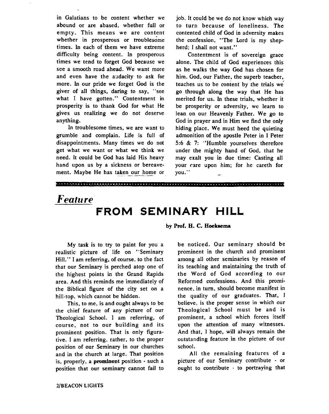in Galatians to be content whether we abound or are abased, whether full or empty. This means we are content whether in prosperous or troublesome times. In each of them we have extreme difficulty being content. In prosperous times we tend to forget God because we see a smooth road ahead. We want more and even have the audacity to ask for more. In our pride we forget God is the giver of all things, daring to say. "see what I have gotten." Contentment in prosperity is to thank God for what He gives us realizing we do not deserve anything.

In troublesome times, we are want to grumble and complain. Life is full of disappointments. Many times we do not get what we want or what we think we need. It could be God has laid His heaw hand upon us by a sickness or bereavement. Maybe He has taken our home or job. It could be we do not know which way to turn because of loneliness. The contented child of God in adversity makes the confession. "The Lord is my shepherd: I shall not want."

Contentment is of sovereign grace alone. The child of God experiences this as he walks the way God has chosen for him. God, our Father, the superb teacher. teaches us to be content by the trials we go through along the way that He has merited for us. In these trials, whether it be prosperity or adversity, we learn to lean on our Heavenly Father. We go to God in prayer and in **Him** we find the only hiding place. We must heed the quieting admonition of the apostle Peter in I Peter 5:6 & 7: "Humble yourselves therefore under the mighty hand of God, that he may exalt you in due time: Casting all your care upon him; for he careth for you."

## *Feature* **FROM SEMINARY HILL**

**by Prof. H. C. Hoekeema** 

My task is to try to paint for you a realistic picture of life on "Seminary Hill." I am referring, of course, to the fact that our Seminary is perched atop one of the highest points in the Grand Rapids area. And this reminds me immediately of the Biblical figure of the city set on a hill-top, which cannot be hidden.

This, to me, is and ought always to be the chief feature of any picture of our Theological School. I am referring, of course, not to our building and its prominent position. That is only figurative. I am referring, rather, to the proper position of our Seminary in our churches and in the church at large. That position is, properly, a prominent position - such a position that our **seminary** cannot fail to

be noticed. Our seminary should be prominent in the church and prominent among all other seminaries by reason of its teaching and maintaining the truth of the Word of God according to our Reformed confessions. And this prominence, in turn, should become manifest in the quality of our graduates. That. I believe, is the proper sense in which our Theological School must be and is prominent, a school which forces itself upon the attention of many witnesses. And that, I hope, will always remain the outstanding feature in. the picture of our school.

All the remaining features of a picture of our Seminary contribute - or ought to contribute - to portraying that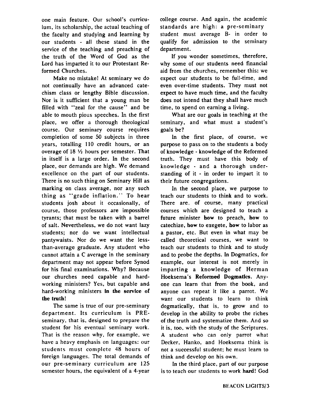one main feature. Our school's curriculum, its scholarship, the actual teaching of the faculty and studying and learning by our students - all these stand in the service of the teaching and preaching of the truth of the Word of Cod as the Lord has imparted it to our Protestant Reformed Churches.

Make no mistake! At seminary we do not continually have an advanced catechism class or lengthy Bible discussion. Nor is it sufficient that a young man be filled with "zeal for the cause" and be able to mouth pious speeches. In the first place, we offer a thorough theological course. Our seminary course requires completion of some 50 subjects in three years, totalling 110 credit hours, or an overage of  $18 \frac{1}{2}$  hours per semester. That in itself is a large order. In the second place, our demands are high. We demand excellence on the part of our students. There is no such thing on Seminary Hill as marking on class average, nor any such thing as "grade inflation." To hear students josh about it occasionally, of course, those professors are impossible tyrants; that must be taken with a barrel of salt. Nevertheless, we do not want lazy students; nor do we want intellectual pantywaists. Nor do we want the lessthan-average graduate. Any student who cannot attain a C average in the seminary department may not appear before Synod for his final examinations. Why? Because our churches need capable and hardworking ministers? Yes, but capable and hard-working ministers in the service of the truth!

The same is true of our pre-seminary department. Its curriculum is PREseminary, that is, designed to prepare the student for his eventual seminary work. That is the reason why, for example. we have a heavy emphasis on languages: our students must complete 48 hours of foreign languages. The total demands of our pre-seminary curriculum are 125 semester hours, the equivalent of a 4-year

college course. And again, the academic standards are high: a pre-seminary student must average B- in order to qualify for admission to the seminary department.

If you wonder sometimes, therefore. why some of our students need financial aid from the churches, remember this: we expect our students to be full-time, and even over-time students. They must not expect to have much time, and the faculty does not intend that they shall have much time, to spend on earning a living.

What are our goals in teaching at the seminary, and what must a student's goals be?

**Ln** the first place, of course, we purpose to pass on to the students a body of knowledge - knowledge of the Reformed truth. They must have this body of knowledge - and a thorough understanding of it - in order to impart it to their future congregations.

In the second place, we purpose to teach our students to think and to work. There are, of course, many practical courses which are designed to teach a future minister how to preach, how to catechize, how to exegete, how to labor as a pastor. etc. But even in what may be called theoretical courses, we want to teach our students to think and to study and to probe the depths. In Dogmatics, for example, our interest is not merely in imparting a knowledge of Herman Hoeksema's Reformed **Dogmatics.** Anyone can learn that from the book, and anyone can repeat it like a parrot. We want our students to learn to think dogmatically, that is, to grow and to develop in the ability to probe the riches of the truth and systematize them. And so it is, too, with the study of the Scriptures. A student who can only parrot what Decker. Hanko, and Hoeksema think is not a successful student; he must learn to rhink and develop on his own.

In the third place, part of our purpose is to teach our students to work hard! God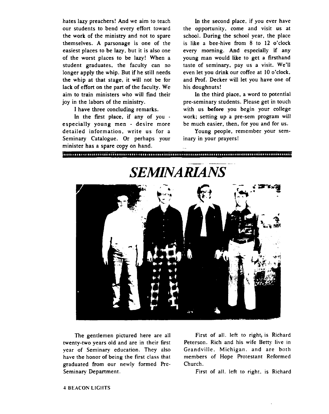our students to bend every effort toward the opportunity, come and visit us at the work of the ministry and not to spare school. During the school year, the place themselves. **A** parsonage is one of the is like a bee-hive from 8 to 12 o'clock easiest places to be lazy. but it is also one every morning. And especially if any of the worst places to be lazy! When a young man would lie to get a firsthand student graduates. the faculty can no taste of seminary, pay us a visit. We'll longer apply the whip. But if he still needs even let you drink our coffee at 10 o'clock, the whip at that stage, it will not be for and Prof. Decker will let you have one of lack of effort on the part of the faculty. We his doughnuts! aim to train ministers who will find their In the third place, a word to potential joy in the labors of the ministry. pre-seminary students. Please get in touch

especially young men - desire more detailed information, write us for a Young people, remember your sem-Seminary Catalogue. Or perhaps your inary in your prayers! minister has a spare copy on hand.

hates lazy preachers! And we aim to teach In the second place, if you ever have

I have three concluding remarks. with us **before** you begin your college In the first place, if any of you  $\cdot$  work; setting up a pre-sem program will exially voung men  $\cdot$  desire more be much easier, then, for you and for us.

in maramanin minimum manananin minimum minimum manananin mananin m



twenty-two years old and are in their first year of Seminary education. They also Grandville. Michigan, and are both have the honor of being the first class that members of Hope Protestant Reformed graduated from our newly formed Pre- Church. Seminary Department. First of all. left to right. is Richard

The gentlemen pictured here are all First of all. left to right, is Richard<br>ty-two years old and are in their first Peterson. Rich and his wife Betty live in

## *SEMINARIANS*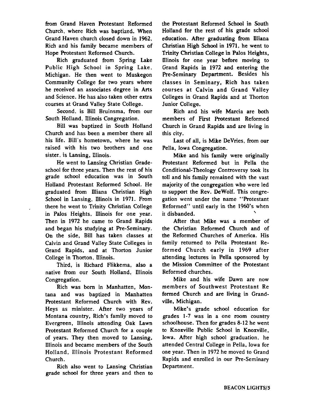**from** Grand Haven Protestant Reformed Church, where Rich was baptized. When Grand Haven church closed down in **1962,**  Rich and his family became members of Hope Protestant Reformed Church.

Rich graduated from Spring Lake Public High School in Spring Lake, Michigan. He then went to Muskegon Community College for two years where he received an associates degree in Arts and Science. He has also taken other extra courses at Grand Valley State College.

Second, is Bill Bruinsma, from our South Holland, Illinois Congregation.

Bill was baptized in South Holland Church and has been a member there all his life. Bill's hometown. where he was raised with his two brothers and one sister. is Lansing, Illinois.

He went to Lansing Christian Gradeschool for three years. Then the rest of his grade school education was in South Holland Protestant Reformed School. He graduated from Illiana Christian High School in Lansing, Illinois in **1971.** From there he went to Trinity Christian College in Palos Heights, Illinois for one year. Then in **1972** he came to Grand Rapids and began his studying at Pre-Seminary. On the side, Bill has taken classes at Calvin and Grand Valley State Colleges in Grand Rapids, and at Thorton Junior College in Thorton, Illinois.

Third, is Richard Flikkema, also a native from our South Holland, Illinois Congregation.

Rich was **born** in Manhatten, Montana and was baptized in Manhatten Protestant Reformed Church with Rev. Heys as minister. After two years of Montana country, Rich's family moved to Evergreen, Illinois attending Oak Lawn Protestant Reformed Church for a couple of years. They then moved to Lansing, Illinois and became members of the South Holland, Illinois Protestant Reformed Church.

Rich also went to Lansing Christian grade school for three years and then to the Protestant Reformed School in South Holland for the rest of his grade school education. After graduating from Illiana Christian High School in **1971,** he went to Trinity Christian College in Palos Heights, Illinois for one year before moving to Grand Rapids in **1972** and entering the Pre-Seminary Department. Besides his classes in Seminary, Rich has taken courses at Calvin and Grand Valley Colleges in Grand Rapids and at Thorton Junior College.

Rich and his wife Marcia are both members of Fist Protestant Reformed Church in Grand Rapids and are living in this city.

Last of **all,** is Mike DeVries, from our Pella, Iowa Congregation.

Mike and his family were originally Protestant Reformed but in Pella the Conditional-Theology Controversy took its toll and his family remained with the vast majority of the congregation who were led to support the Rev. DeWolf. This congregation went under the name "Protestant Reformed" **until** early in the 1960's when it disbanded.

After that Mike was a member of the Christian Reformed Church and of the Reformed Churches of America. His family returned to Pella Protestant Reformed Church early in **1969** after attending lectures in Pella sponsored by the Mission Committee of the Rotestant Reformed churches.

Mike and his wife Dawn are now members of Southwest Protestant Re formed Church and are living in Grandville, Michigan.

Mike's grade school education for grades **1-7** was in a one room country schoolhouse. Then for grades **8-12** he went to Knoxville Public School in Knoxville. Iowa. After high school graduation, he attended Central College in Pella, Iowa for one year. Then in **1972** he moved to Grand Rapids and enrolled in our Pre-Seminary Department.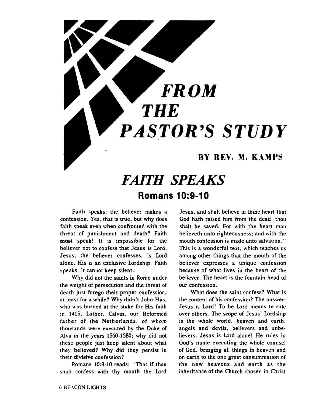# **FROM** - *THE*  **PASTOR'S STUDY**

#### RY REV. M. KAMPS

## *FAITH SPEAKS*  **Romans 10:9-10**

Faith speaks; the believer makes a confession. Yes, that is true, but why does faith speak even when confronted with the threat of punishment and death? Faith must speak! It is impossible for the believer not to confess that Jesus is Lord. Jesus. the believer confesses, is Lord alone. His is an exclusive Lordship. Faith speaks: it cannot keep silent.

Why did not the saints in Rome under the weight of persecution and the threat of death just forego their proper confession, at least for a while? Why didn't John Hus, who was burned at the stake for His faith in **1415,** Luther. Calvin. our Reformed father of the Netherlands, of whom thousands were executed by the Duke of .4va in the years **1560-1580;** why did not these people just keep silent about what they believed? Why did they persist in their divisive confession?

Romans **10:9-10** reads: "That if thou shalt confess with thy mouth the Lord

Jesus, and shalt believe in thine heart that God hath raised him from the dead, thou shalt be saved. For with the heart man believeth unto righteousness; and with the mouth confession is made unto salvation." This is a wonderful text, which teaches us among other things that the mouth of the believer expresses a unique confession because of what lives in the heart of the believer. The heart is the fountain head of our confession.

What does the saint confess? What is the content of his confession? The answer: Jesus is Lord! To be Lord means to rule over others. The scope of Jesus' Lordship is the whole world, heaven and earth. angels and devils, believers and unbelievers. Jesus is Lord alone! He rules in God's name executing the whole counsel of God, bringing all things in heaven and on earth to the one great consummation of the new heavens and earth as the inheritance of the Church chosen in Christ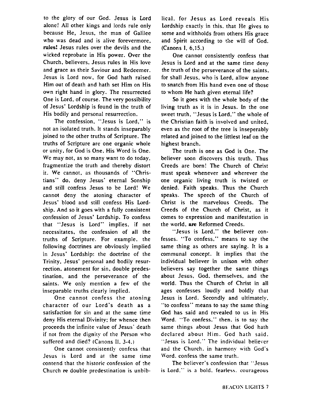to the glory of our God. Jesus is Lord alone! All other kings and lords rule only because He, Jesus, the man of Galilee who was dead and is alive forevermore. rules! Jesus rules over the devils and the wicked reprobate in His power. Over the Church. believers. Jesus rules in His love and grace as their Saviour and Redeemer. Jesus is Lord now, for God hath raised Him out of death and hath set Him on His own right hand in glory. The resurrected One is Lord, of course. The very possibility of Jesus' Lordship is found in the truth of His bodily and personal resurrection.

The confession. "Jesus is Lord," is not an isolated truth. It stands inseparably joined to the other truths of Scripture. The truths of Scripture are one organic whole or unity, for God is One, His Word is One. We may not, as so many want to do today, fragmentize the truth and thereby distort it. We cannot, as thousands of "Christians" do. deny Jesus' eternal Sonship and still confess Jesus to be Lord! We cannot deny the atoning character of Jesus' blood and still confess His Lordship. And so it goes with a fully consistent confession of Jesus' Lordship. To confess that "Jesus is Lord" implies, if not necessitates, the confession of all the truths of Scripture. For example. the following doctrines are obviously implied in Jesus' Lordship: the doctrine of the Trinity, Jesus' personal and bodily resurrection. atonement for sin, double predestination. and the perseverance of' the saints. We only mention a few of the inseparable truths clearly implied.

One cannot confess the atoning character of our Lord's death as a satisfaction for sin and ar the same time deny His eternal Divinity: for whence then proceeds the infinite value of Jesus' death if not from the dignity of the Person who suffered and died? (Canons 11. 3-4.)

One cannot consistently confess that Jesus is Lord and at the same time contend that the historic confession of rhe Church **re** double predestination is unbiblical. for Jesus as Lord reveals His Lordship exactly in this. that He gives to some and withholds from others His grace and Spirit according to the will of God. (Canons 1, 6.15.)

One cannot consistently confess that Jesus is Lord and at the same time deny the truth of the perseverance of the saints, for shall Jesus, who is Lord, allow anyone to snatch from His hand even one of those to whom He hath given eternal life?

**So** it goes with the whole body of the living truth as it is in Jesus. In the one sweet truth, "Jesus is Lord." the whole of the Christian faith is involved and united, even as the root of the tree is inseperably related and joined to the littlest leaf on the highest branch.

The truth is one as God is One. The believer soon discovers this truth. Thus Creeds are born! The Church of Christ must speak whenever and wherever the one organic living truth is twisted or denied. Faith speaks. Thus the Church speaks. The speech of the Church of Christ is the marvelous Creeds. The Creeds of the Church of Christ, as it comes to expression and manifestation in the world. are Reformed Creeds.

"Jesus is Lord," the believer confesses. "To confess," means to say the same thing as others are saying. It is a communal concept. It implies that the individual believer in unison with other believers say together the same things about Jesus, God, themselves, and the world. Thus the Church of Christ in all ages confesses loudly and boldly that Jesus is Lord. Secondly and ultimately. "to confess" means to say the same thing God has said and revealed to us in His Word. "To confess." then. is to say the same things about Jesus that God hath declared about Him. God hath said. "Jesus is Lord." The individual believer and the Church. in harmony with God's \vord. confess the same truth.

The believer's confession that "Jesus is Lord." is a bold. fearless. courageous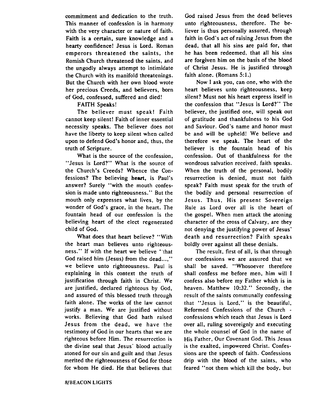commitment and dedication to the truth. This manner of confession is in harmony **with** the very character or nature of faith. Faith is a certain, sure knowledge and a hearty confidence! Jesus is Lord. Roman emperors threatened the saints, the Romish Church threatened the saints, and the ungodly always attempt to intimidate the Church with its manifold threatenings. But the Church with her own blood wrote her precious Creeds, and believers, born of God, confessed, suffered and died!

#### FAITH Speaks!

The believer must speak! Faith cannot keep silent! Faith of inner essential necessity speaks. The believer does not have the liberty to keep silent when called upon to defend God's honor and, thus, the truth of Scripture.

What is the source of the confession, "Jesus is Lord?" What is the source of the Church's Creeds? Whence the Confessions? The believing heart, is Paul's answer? Surely "with the mouth confession is made unto righteousness." But the mouth only expresses what lives, by the wonder of God's grace, in the heart. The fountain head of our confession is the believing heart of the elect regenerated child of God.

What does that heart believe? "With the heart man believes unto righteousness." If with the heart we believe "that God raised him (Jesus) from the dead...." we believe unto righteousness. Paul is explaining in this context the truth of justification through faith in Christ. We are justified. declared righteous by God, and assured of this blessed truth through faith alone. The works of the law cannot justify a man. We are justified without works. Believing that God hath raised Jesus from the dead, we have the testimony of God in our hearts that we are righteous before Him. The resurrection is the divine seal that Jesus' blood actually atoned for our sin and guilt and that Jesus merited the righteousness of God for those for whom He died. He that believes that

God raised Jesus from the dead believes unto righteousness, therefore. The believer is thus personally assured. through faith in God's act of raising Jesus from the dead, that all his sins are paid for, that he has been redeemed, that all his sins are forgiven him on the basis of the blood of Christ Jesus. He is justified through faith alone. (Romans 5:1.)

Now I ask you, can one, who with the heart believes unto righteousness, keep silent? Must not his heart express itself in the confession that "Jesus is Lord?" The believer, the justified one, will speak out of gratitude and thankfulness to his God and Saviour. God's name and honor must be and will be upheld! We believe and therefore we speak. The heart of the believer is the fountain head of his confession. Out of thankfulness for the wondrous salvation received, faith speaks. When the truth of the personal, bodily resurrection is denied, must not faith speak? Faith must speak for the truth of the bodily and personal resurrection of Jesus. Thus, His present Sovereign Rule as Lord over all is the heart of the gospel. When men attack the atoning character of the cross of Calvary, are they not denying the justifying power of Jesus' death and resurrection? Faith speaks boldly over against all these denials.

The result, first of all, is that through our confessions we are assured that we shall be saved. "Whosoever therefore shall confess me before men. him will I confess also before my Father which is in heaven. Matthew **10:32."** Secondly, the result of the saints communally confessing that "Jesus is Lord." is the beautiful. Reformed Confessions of the Church confessions which teach that Jesus is Lord over all, ruling sovereignly and executing the whole counsel of God in the name of His Father, Our Covenant God. This Jesus is the exalted, impowered Christ. Confessions are the speech of faith. Confessions drip with the blood of the saints, who feared "not them which kill the body. but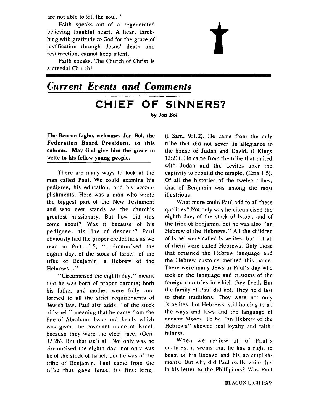are not able to kill the soul."

Faith speaks out of a regenerated believing thankful heart. A heart throbbing with gratitude to God for the grace of justification through Jesus' death and resurrection, cannot keep silent.

Faith speaks. The Church of Christ is a creedal Church!

## *Current Events* **and** *Comments*  **CHIEF OF SINNERS?**  by Jon Bol

The Beacon **Lights** welcomes Jon Bol, the Federation Board President, to this column. May God give him the grace to write to his fellow young people.

There are many ways to look at the man called Paul. We could examine his pedigree, his education, and his accomplishments. Here was a man who wrote the biggest part of the New Testament and who ever stands as the church's greatest missionary. But how did this come about? Was it because of his pedigree, his line of descent? Paul obviously had the proper credentials as we read in Phil. 3:5, "...circumcised the eighth day, of the stock of Israel, of the tribe of Benjamin. a Hebrew of the Hebrews ..."

"Circumcised the eighth day." meant that he was born of proper parents; both his father and mother were fully conformed to all the strict requirements of Jewish law. Paul also adds, "of the stock of Israel," meaning that he came from the line of Abraham. lssac and Jacob, which was given the covenant name of Israel. because they were the elect race. (Gen. **32:28).** But that isn't all. Not only uas he circumcised the eighth day, not only was he of the stock of Israel. but he was of the tribe of Benjamin. Paul came from the tribe that gave Israel its first king.

(I Sam. 9:1.2). He came from the only tribe that did not sever its allegiance to the house of Judah and David. (I Kings 12:21). He came from the tribe that united with Judah and the Levites after the captivity to rebuild the temple. (Ezra **1:s).**  Of all the histories of the twelve tribes, that of Benjamin was among the most illustrious.

What more could Paul add to all these qualities? Not only was he circumcised the eighth day, of the stock of Israel, and of the tribe of Benjamin, but he was also "an Hebrew of the Hebrews." All the children of Israel were called Israelites, but not all of them were called Hebrews. Only those that retained the Hebrew language and the Hebrew customs merited this name. There were many Jews in Paul's day who took on the language and customs of the foreign countries in which they lived. But the family of Paul did not. They held fast to their traditions. They were nor only Israelites, but Hebrews. still holding to all the ways and laws and the language of ancient Moses. To be "an Hebrew of the Hebrews" showed real loyalty and faithfulness.

When we review all of Paul's qualities. it seems that he has a right to boast of his lineage and his accomplishments. But why did Paul really write this in his letter to the Phillipians? Was Paul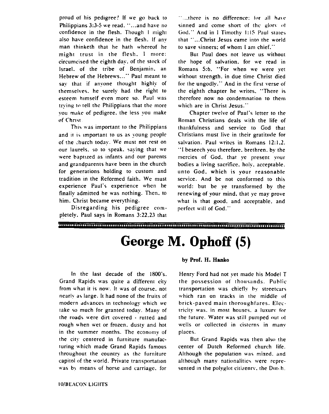proud of his pedigree? If we go back to Philippians 3:3-5 we read. "...and have no confidence in the flesh. Though I might also have confidence in the flesh. If any man thinketh that he hath whereof he might trust in the flesh. I more: circumcised the eighth day. of the stock of Israel. of the tribe of Benjamin. an Hebrew of the Hebrews ..." Paul meant to say that if anyone thought highly of themselves. he surely had the right to esteem himself even more so. Paul was tryine to tell the Philippians that the more vou make of pedigree. the less you make of Christ.

This was important to the Philippians and it is important to us as young people of the :hurch today. We must not rest on our laurels. so to speak. saying that **we**  were baptized as infants and our parents and grandparents have been in the church for generations holding to custom and tradition in the Reformed faith. We must experience Paul's experience when he finally admitted he was nothing. Then, to him. Christ became everything.

Disregarding his pedigree completely. Paul says in Romans 3:22.23 that

"...there is no difference: for all have sinned and come short of the glory of God." And in I Timothy 1:15 Paul states that "...Christ Jesus came into the world to save sinners: of whom I am chief."

But Paul does not leave us without the hope of salvation. for we read in Romans **56.** "For when we were yet without strength. in due time Christ died for the ungodly." And in the first verse of the eighth chapter he writes. "There is therefore now no condemnation to them which are in Christ Jesus."

Chapter twelve of Paul's letrer to the Roman Christians deals with the life of thankfulness and service to God that Christians must live in their gratitude for salvation. Paul writes in Romans 12:1.2. "I beseech you therefore. brethren. by the mercies of God. that ye present your bodies a living sacrifice. holy. acceptable. unto God. which is your reasonable service. And be not conformed to this world: but be ye transformed by the renewing of your mind, that ye may prove what is that good. and acceptable. and perfect will of God."

.<br>International community contribution in the community of the community of the community of the community of th

## **George M. Ophoff (5)**

In the last decade of the 1800's. Grand Rapids was quite a different city from what it is now. It was of course. nor nearl! **ar** large. It had none of the fruits of modern advances in technology which we take so much for granted today. Many of the roads were dirt covered  $\cdot$  rutted and rough when wet or frozen. dusty and hot in the summer months. The economy of rhe city centered in furniture manufacturing which made Grand Rapids famous rhroughout the country as thc furniture capitol of the world. Private transportation was by means of horse and carriage, for

#### by Prof. H. Hanko

Henry Ford had not yet made his Model T the possession of thousands. Public transportation was chiefly hy streetcars which ran on tracks in the middle of brick-paved main thoroughfares. Electricity was. in most houses. a luxurv for the tuture. Water was still pumped our ot wells or collected in cisterns in many places.

But Grand Rapids was then also the center of Dutch Reformed church life. Although the population was mixed. and although many nationalities were represented in the polyglot citizenry, the Dutch.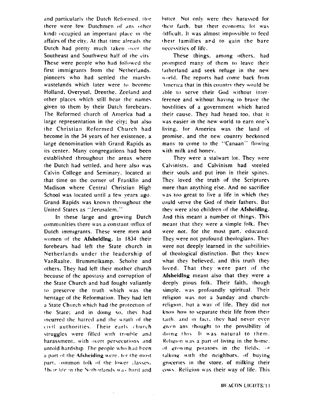and particularly the Dutch Reformed. I tor there were few Dutchmen of any other  $k$ ind) occupied an important place in the affairs of the city. At that time already the Dutch had pretty much taken over the Southeast and Southwest half of the city These were people who had followed the first immigrants from the Netherlands. pioneers who had settled the marshy wastelands which later were to become Holland. Overysel. Drenthe. Zccland and other places which still bear the names given to them by their Dutch forebears. The Reformed church of America had a large representation in the city: but also the Christian Reformed Church had become in the 34 years of her existence. a large denomination with Grand Rapids as its center. Many congregations had been established throughout the areas where the Dutch had settled. and here also was Calvin College and Seminary. located at that time on the corner of Franklin and Madison where Central Christian High School was located until a few years ago. Grand Rapids was known throughout the United States as "Jerusalem."

In these large and growing Durch communities there was a constant influx of Dutch immigrants. These were men and tvomcn of the **Afsheiding.** In 1834 their forebears had left the State church in Netherlands under the leadership of VanRaalte. Brummelkamp. Scholte and others. They had left their mother church because of the apostasy and corruption of the State Church and had fought valiantly ro preserve the truth which was the henrage of the Reformation. They had lett a State Church which had the protection of the State: and in doing so, they had ~ncurrcd the hatrctl and **the** urath 111' rhe civil authorities. Their early church struggles were filled with trouble and harassment, with overt persecutions and untold hardship. The people who had been a part of the Afsheiding were. for the most part. common folk of the Iower classes. Their life in the Notherlands was hard and

 $\bar{.}$ 

hitter. Not only were they harassed for their faith, but their economic lot was ~l~lficult. It was almost impo\eible **10** feed their families and to gain the bare necessities of life.

These things. among others, had prompted many of them to leave their tatherland and seek refuge in the new world. The reports had come back from \nicrlca that in this counrrv rhev \vould be able to serve their God without interference and without having to brave the hoctilities of a government which hated their cause. They had heard too. that it was easier in the new world to earn one's living. for America was the land of promise. and the new country beckoned many to come to the "Canaan" flowing with milk and honey.

They were a stalwart lot. They were Calvinists. and Calvinism had steeled rheir souls and put iron in their spines. They loved the truth of the Scriptures more than anything else. And no sacrifice was too great to live a life in which they could serve the God of their fathers. But they were also children of the **Afsheiding.**  And this meant a number ot things. This meant that they were a simple folk. Thev were not. for the most part. educated. They were not profound theologians. They were not deeply learned in the subtilities of theological distinction. But they knew what they believed. and this truth they loved. That they were part of the **Afsheiding** meant also that they were a deeply pious folk. Their faith. though simple. was profoundly spiritual. Their religion was not a Sunday and churchreligion, but a way of life. They did not know how to separate their life from their taith, and in fact, they had never even given any thought to the possibility of doing this. It was natural to them. Religion was a part of living in the home. of growing potatoes in the tields.  $\alpha t$ talking with the neighbors. of buying groceries in the store. of milking their cows. Religion was their way of life. This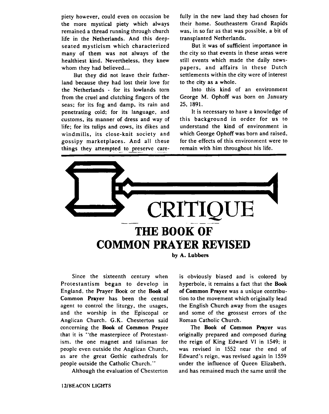piety however, could even on occasion be the more mystical piety which always remained a thread running through church life in the Netherlands. And this deepseated mysticism which characterized many of them was not always of the healthiest kind. Nevertheless, they knew whom they had believed...

But they did not leave their fatherland because they had lost their love for the Netherlands - for its lowlands tom from the cruel and clutching fingers of the seas; for its fog and damp, its rain and penetrating cold; for its language, and customs, its manner of dress and way of life; for its tulips and cows, its dikes and windmills, its close-knit society and gossipy marketplaces. And all these life; for its tulips and cows, its dikes and understand the kind of environme<br>windmills, its close-knit society and which George Ophoff was born and rangossipy marketplaces. And all these for the effects of this environmen

fully in the new land they had chosen for their home. Southeastern Grand Rapids was, in so far as that was possible, a bit of transplanted Netherlands.

But it was of sufficient importance in the city so that events in these areas were still events which made the daily newspapers, and affairs in these Dutch settlements within the city were of interest to the city as a whole.

Into this kind of an environment George M. Ophoff was born on January 25, 1891.

It is necessary to have a knowledge of this background in order for us to understand the kind of environment in which George Ophoff was born and raised, for the effects of this environment were to



Since the sixteenth century when Protestantism began to develop in England. the Prayer Book or the **Book of Common** Prayer has been the central agent to control the liturgy, the usages, and the worship in the Episcopal or Anglican Church. G.K. Chesterton said concerning the **Book of Common** Prayer that it is "the masterpiece of Protestantism. the one magnet and talisman for people even outside the Anglican Church. as are the great Gothic cathedrals for people outside the Catholic Church."

Although the evaluation of Chesterton

is obviously biased and is colored by hyperbole, it remains a fact that the **Book**  of Common Prayer was a unique contribution to the movement which originally lead the English Church away from the usages and some of the grossest errors of the Roman Catholic Church.

The **Book of Common** Prayer was originally prepared and composed during the reign of King Edward **VI** in 1549; it was revised in 1552 near the end of Edward's reign. was revised again in 1559 under the influence of Queen Elizabeth, and has remained much the same until the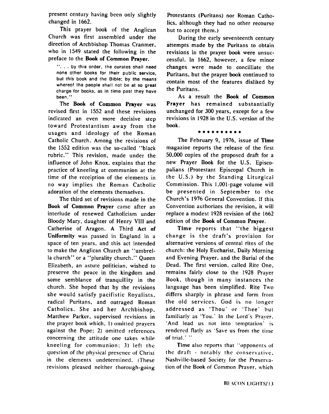present century having been only slightly changed in **1662.** 

This prayer book of the Anglican Church was first assembled under the direction of Archbishop Thomas Cranmer, who in **1549** stated the following in the preface to the **Book** of Common Prayer.

". . . by thls order, the curates shall need none other books for their public service, but this book and the Bible; by the means whereof the people shall not be at so great charge for books, as in time past they have been. "

The **Book** of Common Prayer was revised first in 1552 and these revisions indicated an even more decisive step toward Protestantism away from the usages and ideology of the Roman Catholic Church. Among the revisions of the 1552 edition was the so-called "black rubric." This revision, made under the influence of John Knox. explains that the practice of kneeling at communion at the time of the receiption of the elements in no way implies the Roman Catholic adoration of the elements themselves.

The third set of revisions made in the **Book** of Common Prayer came after an interlude of renewed Catholicism under Bloody Mary, daughter of Henry VIlI and Catherine of Aragon. A Third Act of Uniformity was passed in England in a space of ten years, and this act intended to make the Anglican Church an "umbrella church" or a "plurality church." Queen Elizabeth. an astute politician, wished to preserve the peace in the kingdom and some semblance of tranquillity in the church. She hoped that by the revisions she would satisfy pacifistic Royalists, radical Puritans, and outraged Roman Catholics. She and her Archbishop. Matthew Parker. supervised revisions in the prayer book which, **1)** omitted prayers against the Pope; **2)** omitted references concerning the attitude one takes while kneeling for communion; 3) left thc question of thc physical presence of Christ in the elements undetermined. (These revisions pleased neither thorough-going

Protestants (Puritans) nor Roman Catholics, although they had no other recourse but to accept them.)

During the early seventeenth century attempts made by the Puritans to obtain revisions in the prayer book were unsuccessful. In **1662,** however, a few minor changes were made to concilliate the Puritans, but the prayer book continued to contain most of the features disliked by the Puritans.

As a result the **Book** of Common Prayer has remained substantially unchanged for 300 years. except for a few revisions in **1928** in the U.S. version of the book.

#### \*\*\*\*\*\*\*\*\*\*

The February 9, **1976,** issue of Time magazine reports the release of the first 50.000 copies of the proposed draft for a new Prayer Book for the U.S. Episcopalians (Protestant Episcopal Church in the U.S.) by the Standing Liturgical Commission. This 1.001-page volume will be presented in September to the Church's **1976** General Convention. If this Convention authorizes the revision, it will replace a modest **1928** revision of the **1662**  edition of the **Book** of Common Prayer.

Time reports that "the biggest change is the draft's provision for alternative versions of central rites of the church: the Holy Eucharist. Daily Morning and Evening Prayer. and the Burial of the Dead. The first version. called Rite One. remains fairly close to the **1928** Prayer Book, though in many instances the language has been simplified. Rite Two differs sharply in phrase and form from the old services. God is no longer addressed as 'Thou' or 'Thee' hut familiarly as 'You.' In the Lord's Prayer. 'And lead us not into temptation' is rendered flatly as 'Save us from the time of trial.' "

Time also reports that "opponents of the draft - notably the conservative. Nashville-based Society for the Preservation of the Book of Common Praver. which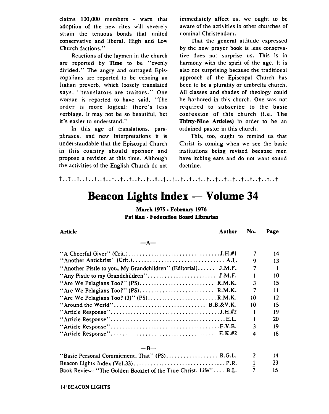claims 100.000 members - warn that adoption of the new rites will severely strain the tenuous bonds that united conservative and liberal. High and **Low**  Church factions."

Reactions of the laymen in the church are reported by TIme to be "evenly divided." The angry and outraged Episcopalians are reported to be echoing an Italian proverb, which loosely translated says. "translators are traitors." One woman is reported to have said, "The order is more logical; there's less verbiage. It may not be so beautiful, but it's easier to understand."

In this age of translations, paraphrases, and new interpretations it is understandable that the Episcopal Church in this country should sponsor and propose a revision at this time. Although the activities of the English Church do not immediately affect us, we ought to be aware of the activities in other churches of nominal Christendom.

That the general attitude expressed by the new prayer book is less conservative does not surprise us. This is in harmony with the spirit of the age. It is also not surprising because the traditional approach of the Episcopal Church has been to be a plurality or umbrella church. All classes and shades of theology could be harbored in this church. One was not required to subscribe to the basic confession of this church (i.e. The **Thirty-Nine** Articles) in order to be an ordained pastor in this church.

This, too. ought to remind us that Christ is coming when we see the basic institutions being revised because men have itching ears and do not want sound doctrine.

# **Beacon Lights Index** - **Volume <sup>34</sup>**

**March 1975** - **Febra~ry 1976 Pat Rau - Federation Board Librarian** 

| Article<br>Author                                              | No.            | Page |
|----------------------------------------------------------------|----------------|------|
| $-A-$                                                          |                |      |
|                                                                | 7              | 14   |
|                                                                | 9              | 13   |
| "Another Pistle to you, My Grandchildren" (Editorial) $J.M.F.$ | 7              |      |
| "Any Pistle to my Grandchildren" J.M.F.                        |                | 10   |
|                                                                | 3              | 15   |
| "Are We Pelagians Too?" (PS) R.M.K.                            | 7              | 11   |
| "Are We Pelagians Too? (3)" $(PS)$ R.M.K.                      | 10             | 12   |
|                                                                | 10             | 15   |
|                                                                |                | 19   |
|                                                                |                | 20   |
|                                                                | $\overline{3}$ | 19   |
|                                                                | 4              | 18   |
| — R—                                                           |                |      |

| "Basic Personal Commitment, That" $(PS)$ R.G.L. 2               |              | 14.  |
|-----------------------------------------------------------------|--------------|------|
|                                                                 | $\mathbf{I}$ | -23- |
| Book Review: "The Golden Booklet of the True Christ. Life" B.L. |              | -15. |

### **11'BEACON LIGHTS**

#### $-\mathbf{I}$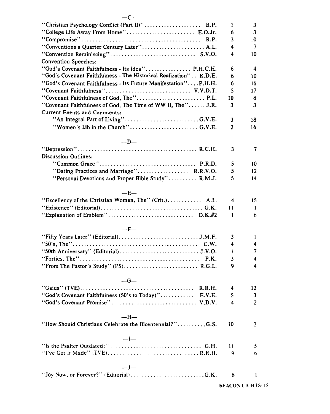| "Christian Psychology Conflict (Part II)" R.P.<br>"College Life Away From Home" E.O.Jr. | 1<br>6         | 3<br>3         |
|-----------------------------------------------------------------------------------------|----------------|----------------|
| R.P.                                                                                    | 3              | 10             |
| "Conventions a Quarter Century Later" A.L.                                              | 4              | 7              |
| <b>Convention Speeches:</b>                                                             | 4              | 10             |
| "God's Covenant Faithfulness - Its Idea" P.H.C.H.                                       | 6              | 4              |
| "God's Covenant Faithfulness - The Historical Realization". . R.D.E.                    | 6              | 10             |
| "God's Covenant Faithfulness - Its Future Manifestation"P.H.H.                          | 6              | 16             |
| "Covenant Faithfulness" V.V.D.T.                                                        | 5              | 17             |
| "Covenant Faithfulness of God, The" P.L.                                                | 10             | 8              |
| "Covenant Faithfulness of God, The Time of WW II, The" J.R.                             | 3              | 3              |
| <b>Current Events and Comments:</b>                                                     |                |                |
|                                                                                         | 3              | 18             |
|                                                                                         |                |                |
|                                                                                         | $\overline{2}$ | 16             |
| $-D-$                                                                                   |                |                |
|                                                                                         | 3              | 7              |
| <b>Discussion Outlines:</b>                                                             |                |                |
|                                                                                         | 5              | 10             |
| "Dating Practices and Marriage" R.R.V.O.                                                | 5              | 12             |
| "Personal Devotions and Proper Bible Study" R.M.J.                                      | 5              | 14             |
|                                                                                         |                |                |
| $-E-$                                                                                   |                |                |
| "Excellency of the Christian Woman, The" (Crit.) A.L.                                   | 4              | 15             |
|                                                                                         | 11             | 1              |
|                                                                                         | 1              | 6              |
|                                                                                         |                |                |
| $-F-$                                                                                   |                |                |
|                                                                                         | 3              | 1              |
|                                                                                         | 4              | 4              |
|                                                                                         | 1              | 7              |
|                                                                                         | 3              | 4              |
|                                                                                         |                |                |
| "From The Pastor's Study" (PS) R.G.L.                                                   | 9              | 4              |
| $-G-$                                                                                   |                |                |
|                                                                                         | 4              | 12             |
| "God's Covenant Faithfulness (50's to Today)" E.V.E.                                    | 5              | 3              |
| "God's Covenant Promise" V.D.V.                                                         | 4              | $\overline{2}$ |
|                                                                                         |                |                |
| —H—                                                                                     |                |                |
| "How Should Christians Celebrate the Bicentennial?"G.S.                                 | 10             | 2              |
| $-l-$                                                                                   |                |                |
|                                                                                         |                |                |
|                                                                                         | 11             | 5              |
|                                                                                         | ۹              | o              |
| $-I-$                                                                                   |                |                |
|                                                                                         | 8              | 1              |
|                                                                                         |                |                |

**BEACON LIGHTS:15** 

#### $-c-$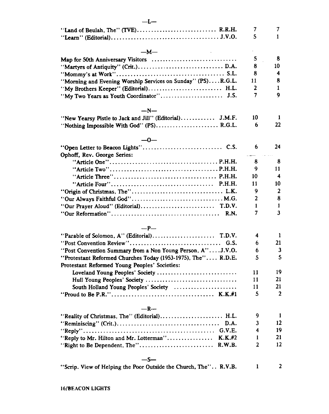| $-I$ —                                                       |    |                  |
|--------------------------------------------------------------|----|------------------|
| "Land of Beulah, The" (TVE) R.R.H.                           | 7  | 7                |
|                                                              | 5  | $\mathbf{1}$     |
| $-M-$                                                        |    |                  |
| Map for 50th Anniversary Visitors                            | 5  | 8                |
|                                                              | 8  | 10               |
|                                                              | 8  | 4                |
| "Morning and Evening Worship Services on Sunday" (PS)R.G.L.  | 11 | 8                |
| "My Brothers Keeper" (Editorial) H.L.                        | 2  | 1                |
|                                                              | 7  | 9                |
|                                                              |    |                  |
| $-N-$                                                        |    |                  |
| "New Yearsy Pistle to Jack and Jill" (Editorial) J.M.F.      | 10 | 1                |
| "Nothing Impossible With God" (PS) R.G.L.                    | 6  | 22               |
| —0—                                                          |    |                  |
|                                                              | 6  | 24               |
| Ophoff, Rev. George Series:                                  |    |                  |
|                                                              | 8  | 8                |
|                                                              | 9  | 11               |
|                                                              | 10 | 4                |
|                                                              | 11 | 10               |
|                                                              | 9  | $\boldsymbol{2}$ |
| "Our Always Faithful God" M.G.                               | 2  | 8                |
|                                                              | 1  | 1                |
|                                                              | 7  | 3                |
| R.N.                                                         |    |                  |
| $-P-$                                                        |    |                  |
| "Parable of Solomon, A" (Editorial)<br>T.D.V.                | 4  | 1                |
| "Post Convention Review"<br>G.S.                             | 6  | 21               |
| "Post Convention Summary from a Non Young Person, A"J.V.O.   | 6  | 3                |
| "Protestant Reformed Churches Today (1953-1975), The" R.D.E. | 5  | 5                |
| Protestant Reformed Young Peoples' Societies:                |    |                  |
| Loveland Young Peoples' Society                              | 11 | 19               |
| Hull Young Peoples' Society                                  | 11 | 21               |
| South Holland Young Peoples' Society                         | 11 | 21               |
|                                                              | 5  | $\overline{2}$   |
| $-R-$                                                        |    |                  |
|                                                              | 9  | 1                |
| "Reality of Christmas, The" (Editorial) H.L.                 | 3  | 12               |
| <b>G.V.E.</b>                                                | 4  | 19               |
|                                                              | 1  | 21               |
| "Reply to Mr. Hilton and Mr. Lotterman"<br>$K.K.+2$          | 2  | 12               |
| "Right to Be Dependent, The"<br>R.W.B.                       |    |                  |
| —S—                                                          |    |                  |
|                                                              |    |                  |

"Scrip. View of Helping the Poor Outside the Church, The".. R.V.B.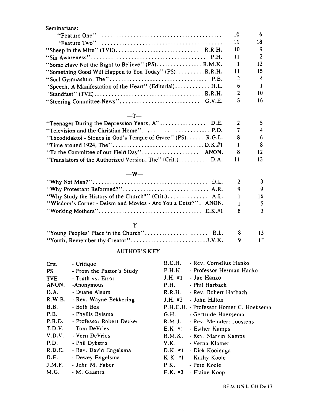Seminarians: "FeatureOne" ..........................................  $10$ 6 18 "FeatureTwo" ..........................................  $11$ "Sheep in the Mire" (TVE). ............................. R.R.H. 10 9  $\overline{2}$ "Sin Awareness". ....................................... P.H. 11  $12$ "Some Have Not the Right to Believe" (PS) ................ R.M.K.  $\overline{1}$ "Something Good Will Happen to You Today" (PS). ........ .R.R.H. 11 15  $\overline{\mathbf{4}}$ "Soul Gymnasium, The" .................................. P.B.  $\overline{2}$ "Speech, A Manifestation of the Heart" (Editorial). ........... H.L. 6  $\mathbf{1}$ " Standfast" WE). ..................................... R.R.H.  $\overline{2}$ 10  $\mathsf{S}$ 16 "Steering Committee News". ........................... G.V.E.

#### $-T-$

|                                                              |    | 4            |
|--------------------------------------------------------------|----|--------------|
| "Theodidaktoi - Stones in God's Temple of Grace" (PS) R.G.L. | ×  | <sub>6</sub> |
|                                                              |    |              |
|                                                              | -8 | 12           |
| "Translators of the Authorized Version, The" (Crit.) D.A.    |    | 13.          |

#### $-W-$

|                                                                | Q    |     |
|----------------------------------------------------------------|------|-----|
| "Why Study the History of the Church?" (Crit.) A.L.            |      | 16. |
| "Wisdom's Corner - Deism and Movies - Are You a Deist?". ANON. |      |     |
|                                                                |      |     |
| $-Y-$                                                          |      |     |
| $1137$ m $137$ m $137$                                         | nt o |     |

| "Young Peoples' Place in the Church" R.L. 8 13 |  |  |
|------------------------------------------------|--|--|
|                                                |  |  |

#### AUTHOR'S KEY

| Crit.      | - Critique                | R.C.H. | - Rev. Cornelius Hanko                 |
|------------|---------------------------|--------|----------------------------------------|
|            |                           | P.H.H. | - Professor Herman Hanko               |
| PS.        | - From the Pastor's Study |        |                                        |
| <b>TVE</b> | - Truth vs. Error         |        | J.H. $#1$ - Jan Hanko                  |
| ANON.      | -Anonymous                | P.H.   | - Phil Harbach                         |
| D.A.       | - Duane Alsum             | R.R.H. | - Rev. Robert Harbach                  |
| R.W.B.     | - Rev. Wayne Bekkering    |        | $J.H.$ #2 $\rightarrow$ John Hilton    |
| B.B.       | - Beth Bos                |        | P.H.C.H. - Professor Homer C. Hoeksema |
| P.B.       | - Phyllis Bylsma          | G.H.   | - Gertrude Hoeksema                    |
| P.R.D.     | - Professor Robert Decker |        | R.M.J. · Rev. Meindert Joostens        |
| T.D.V.     | - Tom DeVries             |        | E.K. #1 - Esther Kamps                 |
| V.D.V.     | - Vern DeVries            |        | R.M.K. - Rev. Marvin Kamps             |
| P.D.       | - Phil Dykstra            | V.K.   | - Verna Klamer                         |
| R.D.E.     | - Rev. David Engelsma     |        | D.K. =1 - Dick Kooienga                |
| D.E.       | - Dewey Engelsma          |        | K.K. $=1$ - Kathy Koole                |
| J.M.F.     | - John M. Faber           |        | P.K. - Pete Koole                      |
| M.G.       | - M. Gaastra              |        | $E.K. = 2$ - Elaine Koop               |
|            |                           |        |                                        |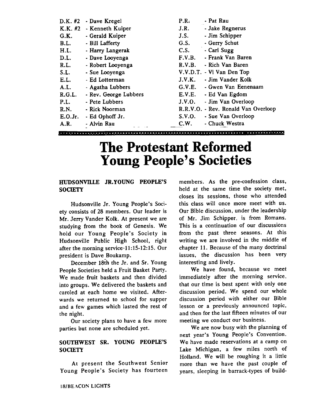| $D.K.$ #2 | - Dave Kregel         | P.R.   | - Pat Rau                           |
|-----------|-----------------------|--------|-------------------------------------|
| $K.K.$ #2 | - Kenneth Kuiper      | J.R.   | - Jake Regnerus                     |
| G.K.      | - Gerald Kuiper       | J.S.   | - Jim Schipper                      |
| B.L.      | - Bill Lafferty       | G.S.   | - Gerry Schut                       |
| H.L.      | - Harry Langerak      | C.S.   | - Cari Sugg                         |
| D.L.      | - Dave Looyenga       | F.V.B. | - Frank Van Baren                   |
| R.L.      | - Robert Looyenga     | R.V.B. | - Rich Van Baren                    |
| S.L.      | - Sue Looyenga        |        | V.V.D.T. - Vi Van Den Top           |
| E.L.      | - Ed Lotterman        | J.V.K. | - Jim Vander Kolk                   |
| A.L.      | - Agatha Lubbers      | G.V.E. | - Gwen Van Eenenaam                 |
| R.G.L.    | - Rev. George Lubbers | E.V.E. | - Ed Van Egdom                      |
| P.L.      | - Pete Lubbers        | J.V.O. | - Jim Van Overloop                  |
| R.N.      | - Rick Noorman        |        | R.R.V.O. - Rev. Ronald Van Overloop |
| E.O.Jr.   | - Ed Ophoff Jr.       | S.V.O. | - Sue Van Overloop                  |
| A.R.      | - Alvin Rau           | C.W.   | - Chuck Westra                      |
|           |                       |        |                                     |

## **The Protestant Reformed Young People's Societies**

#### **HUDSONYILLE JR.YOUNG PEOPLE'S SOCIETY**

Hudsonville Jr. Young People's Society consists of 28 members. Our leader is Mr. Jerry Vander Kolk. At present we are studying from the book of Genesis. We hold our Young People's Society in Hudsonville Public High School, right after the morning service-11:15-12:15. Our president is Dave Boukamp.

December 18th the Jr. and Sr. Young People Societies held a Fruit Basket Party. We made fruit baskets and then divided into groups. We delivered the baskets and caroled at each home we visited. Afterwards we returned to school for supper and a few games which lasted the rest of the night.

Our society plans to have a few more parties but none are scheduled yet.

#### **SOUTHWEST SR. YOUNG PEOPLE'S SOclETY**

At present the Southwest Senior Young People's Society has fourteen

members. As the pre-confession class, held at the same time the society met, closes its sessions, those who attended this class will once more meet with us. Our Bible discussion, under the leadership of Mr. Jim Schipper, is from Romans. This is a continuation of our discussions from the past three seasons. At this writing we are involved in the middle of chapter 11. Because of the many doctrinal issues, the discussion has been very interesting and lively.

We have found, because we meet immediately after the morning service. that our time is best spent with only one discussion period. We spend our whole discussion period with either our Bible lesson or a previously announced topic, and then for the last fifteen minutes of our meeting we conduct our business.

We are now busy with the planning of next year's Young People's Convention. We have made reservations at a camp on Lake Michigan, a few miles north of Holland. We will be roughing it a little more than we have the past couple of years, sleeping in barrack-types of build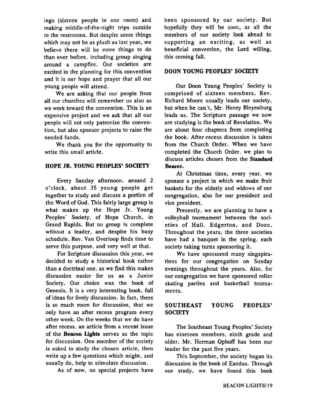ings (sixteen people in one room) and making middle-of-the-night trips outside to the restrooms. But despite some things which may not be as plush as last year, we believe there will be more things to do than ever before, including group singing around a campfire. Our societies are excited in the planning for this convention and it is our hope and prayer that all our young people will attend.

We are asking that our people from all our churches will remember us also as we work toward the convention. This is an expensive project and we ask that all our people will not only patronize the convention, but also sponsor projects to raise the needed funds.

We thank you for the opportunity to write this small article.

#### **HOPE JR. YOUNG PEOPLES' SOCIETY**

Every Sunday afternoon, around 2 o'clock, about 35 young people get together to study and discuss a portion of the Word of God. This fairly large group is what makes up the Hope Jr. Young Peoples' Society, of Hope Church, in Grand Rapids. But no group is complete without a leader, and despite his busy schedule, Rev. Van Overloop finds time to serve this purpose, and very well at that.

For Scripture discussion this year, we decided to study a historical book rather than a doctrinal one, as we find this makes discussion easier for us as a Junior Society. Our choice was the book of Genesis. It is a very interesting book, full of ideas for lively discussion. In fact, there is so much room for discussion, that we only have an after recess program every other week. On the weeks that we do have after recess, an article from a recent issue of the **Beacon** Lights serves as the topic for discussion. One member of the society is asked to study the chosen article, then write up a few questions which might, and usually do, help to stimulate discussion.

As of now, no special projects have

been sponsored by our society. But hopefully they will be soon, as all the members of our society look ahead to supporting an exciting, as well as beneficial convention, the Lord willing, this coming fall.

#### **DOON YOUNG PEOPLES' SOCIETY**

Our Doon Young Peoples' Society is comprised of sixteen members. Rev. Richard Moore usually leads our society, but when he can't, Mr. Henry Bleyenburg leads us. The Scripture passage we now are studying is the book of Revelation. We are about four chapters from completing the book. After-recess discussion is taken from the Church Order. When we have completed the Church Order, we plan to discuss articles chosen from the **Standard**  Bearer.

At Christmas time, every year, we sponsor a project in which we make fruit baskets for the elderly and widows of our congregation, also for our president and vice president.

Presently, we are planning to have a volleyball tournament between the societies of Hull, Edgerton, and Doon. Throughout the years, the three societies have had a banquet in the spring, each society taking turns sponsoring it.

We have sponsored many singspirations for our congregation on Sunday evenings throughout the years. Also, for our congregation we have sponsored roller skating parties and basketball tournaments.

#### **SOUTHEAST YOUNG PEOPLES' SOCIETY**

The Southeast Young Peoples' Society has nineteen members, ninth grade and older. Mr. Herman Ophoff has been our leader for the past five years.

This September, the society began its discussion in the book of Exodus. Through our study, we have found this book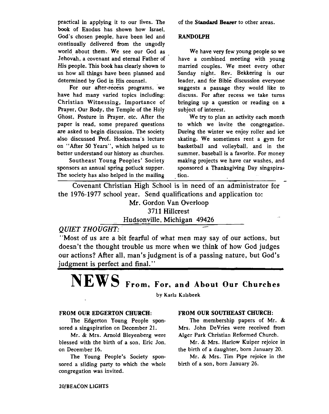practical in applying it to our lives. The book of Exodus has shown how Israel, God's chosen people, have been led and continually delivered from the ungodly world about them. We see our God as Jehovah, a covenant and eternal Father of His people. This book has clearly shown to us how all things have been planned and determined by God in His counsel.

For our after-recess programs, we have had many varied topics including: Christian Witnessing, Importance of Prayer, Our Body, the Temple of the Holy Ghost, Posture in Prayer, etc. After the paper is read, some prepared questions are asked to begin discussion. The society **also** discussed Prof. Hoeksema's lecture on "After 50 Years", which helped us to better understand our history as churches,

Southeast Young Peoples' Society sponsors an annual spring potluck supper. The society has **also** helped in the mailing

#### of the **Standard** Bearer to other areas.

#### **RANDOLPH**

We have very few young people so we have a combined meeting with young married couples. We meet every other Sunday night. Rev. Bekkering is our  $leader, and for Bible discussion everyone$ suggests a passage they would like to discuss. For after recess we take turns bringing up a question or reading on a subject of interest.

We try to plan an activity each month to which we invite the congregation. During the winter we enjoy roller and ice skating. We sometimes rent a **gym** for basketball and volleyball, and in the summer, baseball is a favorite. For money making projects we have car washes, and sponsored a Thanksgiving Day singspira- $\frac{1}{1}$  is also helped in the mailing tion.

Covenant Christian High School is in need of an administrator for the **1976-1977** school year. Send qualifications and application to:

Mr. Gordon Van Overloop

3711 Hillcrest<br> *QUIET THOUGHT:* Hudsonville, Michigan 49426

"Most of us are a bit fearful of what men may say of our actions, but doesn't the thought trouble us more when we think of how God judges our actions? After all, man's judgment is of a passing nature, but God's judgment is perfect and final."

# $NEWS$  From, For, and About Our Churches

**by Karla Kalsbeek** 

#### **FROM OUR EDGERTON CHURCH:**

The Edgerton Young People sponsored a singspiration on December 21.

Mr. & Mrs. Arnold Bleyenberg were blessed with the birth of a son, Eric Jon, on December 16.

The Young People's Society sponsored a sliding party to which the whole congregation was invited.

#### **FROM OUR SOUTHEAST CHURCH:**

The membership papers of Mr. & Mrs. John DeVries were received from Alger Park Christian Reformed Church.

Mr. & Mrs. Harlow Kuiper rejoice in the birth of a daughter, born January 20.

Mr. & Mrs. Tim Pipe rejoice in the birth of a son, born January 26.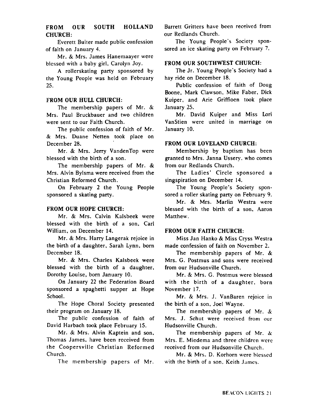#### **FROM OUR SOUTH HOLLAND CHURCH:**

Everett Buiter made public confession of faith on January 4.

Mr. & Mrs. James Hanemaayer were blessed with a baby girl, Carolyn Joy.

**A** rollerskating party sponsored by the Young Pcople was held on February **25.** 

#### **FROM OUR HULL CHURCH:**

The membership papers of Mr. & Mrs. Paul Bruckbauer and two children were sent to our Faith Church.

The public confession of faith of Mr. & Mrs. Duane Netten took place on December **28.** 

Mr. & Mrs. Jerry VandenTop were blessed with the birth of a son.

The membership papers of Mr. & Mrs. Alvin Bylsma were received from the Christian Reformed Church.

On February **2** the Young People sponsored a skating party.

#### **FROM OUR HOPE CHURCH:**

Mr. & Mrs. Calvin Kalsbeek were blessed with the birth of a son. Carl William, on December 14.

Mr. & Mrs. Harry Langerak rejoice in the birth of a daughter, Sarah Lynn, born December **18.** 

Mr. & Mrs. Charles Kalsbeek were blessed with the birth of a daughter, Dorothy Louise, born January **10.** 

On January **22** the Federation Board sponsored a spaghetti supper at Hope School.

The Hope Choral Society presented their program on January **18.** 

The public confession of faith of David Harbach took place February **15.** 

Mr. & Mrs. Alvin Kaptein and son. Thomas James, have been received from the Coopersville Christian Reformed Church.

The membership papers of Mr.

Barrett Gritters have been received from our Redlands Church.

The Young People's Society sponsored an ice skating party on February 7.

#### **FROM OUR SOUTHWEST CHURCH:**

The Jr. Young People's Society had a hay ride on December 18.

Public confession of faith of Doug Boone, Mark Clawson. Mike Faber. Dick Kuiper, and Arie Griffioen took place January **25.** 

Mr. David Kuiper and Miss Lori VanStien were united in marriage on January **10.** 

#### **FROM OUR LOVELAND CHURCH:**

Membership by baptism has been granted to Mrs. Janna Ussery. who comes from our Redlands Church.

The Ladies' Circle sponsored a singspiration on December 14.

The Young People's Society sponsored a roller skating party on February 9.

Mr. & Mrs. Marlin Westra were blessed with the birth of a son, Aaron Matthew.

#### **FROM OUR FAITH CHURCH:**

Miss Jan Hanko & Miss Cryss Westra made confession of faith on November **2.** 

The membership papers of Mr. & Mrs. G. Postmus and sons were received from our Hudsonville Church.

Mr. & Mrs. G. Postmus were blessed with the birth of a daughter. born November 17.

Mr. & Mrs. J. VanBaren rejoice in the birth of a son, Joel Wayne.

The membership papers of Mr. & Mrs. J. Schut were received from our Hudsonville Church.

The membership papers of Mr. **k**  Mrs. E. Miedema and three children were received from our Hudsonville Church.

Mr. & Mrs. D. Korhorn were blessed with the birth of a son. Keith James.